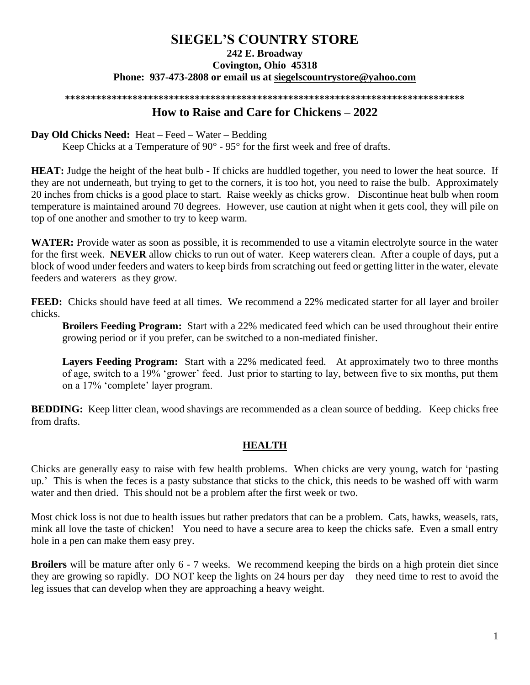# **SIEGEL'S COUNTRY STORE 242 E. Broadway Covington, Ohio 45318 Phone: 937-473-2808 or email us at [siegelscountrystore@yahoo.com](mailto:siegelscountrystore@yahoo.com)**

#### **\*\*\*\*\*\*\*\*\*\*\*\*\*\*\*\*\*\*\*\*\*\*\*\*\*\*\*\*\*\*\*\*\*\*\*\*\*\*\*\*\*\*\*\*\*\*\*\*\*\*\*\*\*\*\*\*\*\*\*\*\*\*\*\*\*\*\*\*\*\*\*\*\*\*\*\*\***

#### **How to Raise and Care for Chickens – 2022**

#### **Day Old Chicks Need:** Heat – Feed – Water – Bedding

Keep Chicks at a Temperature of 90° - 95° for the first week and free of drafts.

**HEAT:** Judge the height of the heat bulb - If chicks are huddled together, you need to lower the heat source. If they are not underneath, but trying to get to the corners, it is too hot, you need to raise the bulb. Approximately 20 inches from chicks is a good place to start. Raise weekly as chicks grow. Discontinue heat bulb when room temperature is maintained around 70 degrees. However, use caution at night when it gets cool, they will pile on top of one another and smother to try to keep warm.

**WATER:** Provide water as soon as possible, it is recommended to use a vitamin electrolyte source in the water for the first week. **NEVER** allow chicks to run out of water. Keep waterers clean. After a couple of days, put a block of wood under feeders and waters to keep birds from scratching out feed or getting litter in the water, elevate feeders and waterers as they grow.

**FEED:** Chicks should have feed at all times. We recommend a 22% medicated starter for all layer and broiler chicks.

**Broilers Feeding Program:** Start with a 22% medicated feed which can be used throughout their entire growing period or if you prefer, can be switched to a non-mediated finisher.

**Layers Feeding Program:** Start with a 22% medicated feed. At approximately two to three months of age, switch to a 19% 'grower' feed. Just prior to starting to lay, between five to six months, put them on a 17% 'complete' layer program.

**BEDDING:** Keep litter clean, wood shavings are recommended as a clean source of bedding. Keep chicks free from drafts.

## **HEALTH**

Chicks are generally easy to raise with few health problems. When chicks are very young, watch for 'pasting up.' This is when the feces is a pasty substance that sticks to the chick, this needs to be washed off with warm water and then dried. This should not be a problem after the first week or two.

Most chick loss is not due to health issues but rather predators that can be a problem. Cats, hawks, weasels, rats, mink all love the taste of chicken! You need to have a secure area to keep the chicks safe. Even a small entry hole in a pen can make them easy prey.

**Broilers** will be mature after only 6 - 7 weeks. We recommend keeping the birds on a high protein diet since they are growing so rapidly. DO NOT keep the lights on 24 hours per day – they need time to rest to avoid the leg issues that can develop when they are approaching a heavy weight.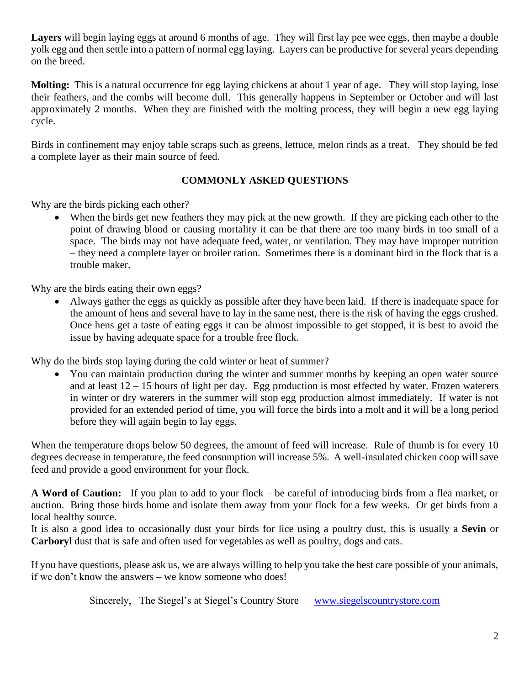**Layers** will begin laying eggs at around 6 months of age. They will first lay pee wee eggs, then maybe a double yolk egg and then settle into a pattern of normal egg laying. Layers can be productive for several years depending on the breed.

**Molting:** This is a natural occurrence for egg laying chickens at about 1 year of age. They will stop laying, lose their feathers, and the combs will become dull. This generally happens in September or October and will last approximately 2 months. When they are finished with the molting process, they will begin a new egg laying cycle.

Birds in confinement may enjoy table scraps such as greens, lettuce, melon rinds as a treat. They should be fed a complete layer as their main source of feed.

# **COMMONLY ASKED QUESTIONS**

Why are the birds picking each other?

When the birds get new feathers they may pick at the new growth. If they are picking each other to the point of drawing blood or causing mortality it can be that there are too many birds in too small of a space. The birds may not have adequate feed, water, or ventilation. They may have improper nutrition – they need a complete layer or broiler ration. Sometimes there is a dominant bird in the flock that is a trouble maker.

Why are the birds eating their own eggs?

• Always gather the eggs as quickly as possible after they have been laid. If there is inadequate space for the amount of hens and several have to lay in the same nest, there is the risk of having the eggs crushed. Once hens get a taste of eating eggs it can be almost impossible to get stopped, it is best to avoid the issue by having adequate space for a trouble free flock.

Why do the birds stop laying during the cold winter or heat of summer?

• You can maintain production during the winter and summer months by keeping an open water source and at least  $12 - 15$  hours of light per day. Egg production is most effected by water. Frozen waterers in winter or dry waterers in the summer will stop egg production almost immediately. If water is not provided for an extended period of time, you will force the birds into a molt and it will be a long period before they will again begin to lay eggs.

When the temperature drops below 50 degrees, the amount of feed will increase. Rule of thumb is for every 10 degrees decrease in temperature, the feed consumption will increase 5%. A well-insulated chicken coop will save feed and provide a good environment for your flock.

**A Word of Caution:** If you plan to add to your flock – be careful of introducing birds from a flea market, or auction. Bring those birds home and isolate them away from your flock for a few weeks. Or get birds from a local healthy source.

It is also a good idea to occasionally dust your birds for lice using a poultry dust, this is usually a **Sevin** or **Carboryl** dust that is safe and often used for vegetables as well as poultry, dogs and cats.

If you have questions, please ask us, we are always willing to help you take the best care possible of your animals, if we don't know the answers – we know someone who does!

Sincerely, The Siegel's at Siegel's Country Store [www.siegelscountrystore.com](http://www.siegelscountrystore.com/)